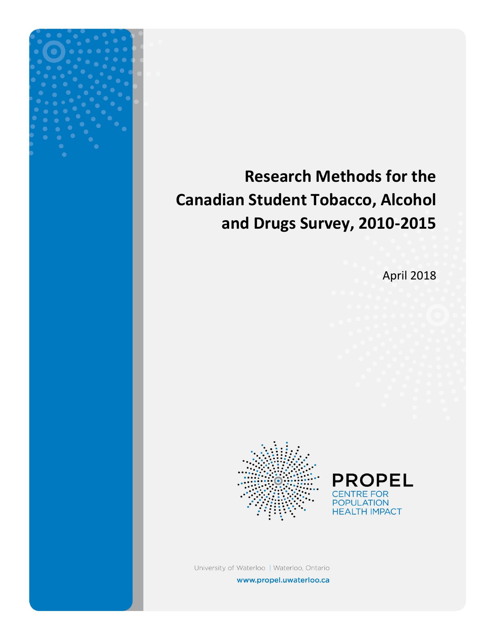# **Research Methods for the Canadian Student Tobacco, Alcohol and Drugs Survey, 2010-2015**

April 2018





University of Waterloo | Waterloo, Ontario www.propel.uwaterloo.ca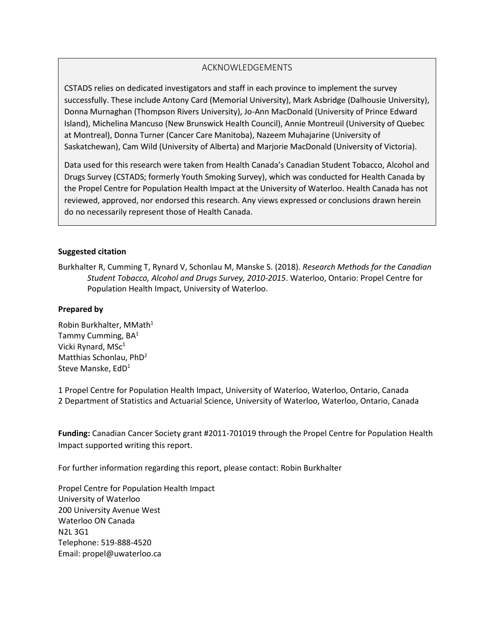#### ACKNOWLEDGEMENTS

CSTADS relies on dedicated investigators and staff in each province to implement the survey successfully. These include Antony Card (Memorial University), Mark Asbridge (Dalhousie University), Donna Murnaghan (Thompson Rivers University), Jo-Ann MacDonald (University of Prince Edward Island), Michelina Mancuso (New Brunswick Health Council), Annie Montreuil (University of Quebec at Montreal), Donna Turner (Cancer Care Manitoba), Nazeem Muhajarine (University of Saskatchewan), Cam Wild (University of Alberta) and Marjorie MacDonald (University of Victoria).

Data used for this research were taken from Health Canada's Canadian Student Tobacco, Alcohol and Drugs Survey (CSTADS; formerly Youth Smoking Survey), which was conducted for Health Canada by the Propel Centre for Population Health Impact at the University of Waterloo. Health Canada has not reviewed, approved, nor endorsed this research. Any views expressed or conclusions drawn herein do no necessarily represent those of Health Canada.

#### **Suggested citation**

Burkhalter R, Cumming T, Rynard V, Schonlau M, Manske S. (2018). *Research Methods for the Canadian Student Tobacco, Alcohol and Drugs Survey, 2010-2015*. Waterloo, Ontario: Propel Centre for Population Health Impact, University of Waterloo.

#### **Prepared by**

Robin Burkhalter, MMath<sup>1</sup> Tammy Cumming,  $BA<sup>1</sup>$ Vicki Rynard,  $MSc<sup>1</sup>$ Matthias Schonlau, PhD<sup>2</sup> Steve Manske, EdD<sup>1</sup>

1 Propel Centre for Population Health Impact, University of Waterloo, Waterloo, Ontario, Canada 2 Department of Statistics and Actuarial Science, University of Waterloo, Waterloo, Ontario, Canada

**Funding:** Canadian Cancer Society grant #2011-701019 through the Propel Centre for Population Health Impact supported writing this report.

For further information regarding this report, please contact: Robin Burkhalter

Propel Centre for Population Health Impact University of Waterloo 200 University Avenue West Waterloo ON Canada N2L 3G1 Telephone: 519-888-4520 Email: [propel@uwaterloo.ca](mailto:propel@uwaterloo.ca)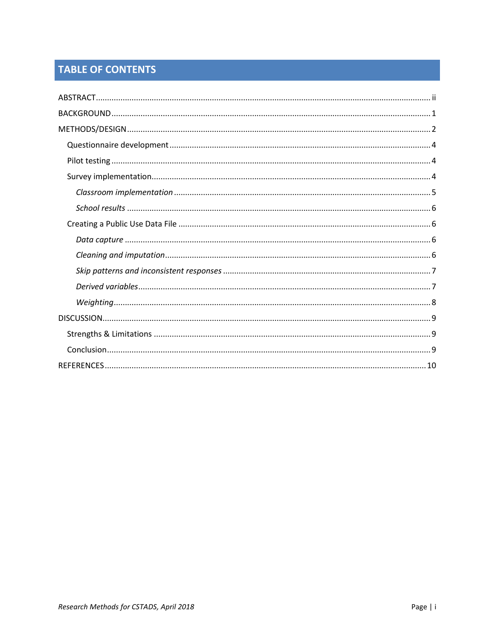## **TABLE OF CONTENTS**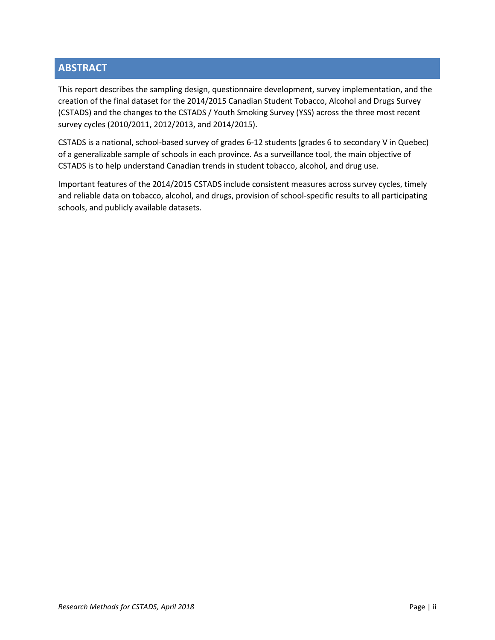## <span id="page-3-0"></span>**ABSTRACT**

This report describes the sampling design, questionnaire development, survey implementation, and the creation of the final dataset for the 2014/2015 Canadian Student Tobacco, Alcohol and Drugs Survey (CSTADS) and the changes to the CSTADS / Youth Smoking Survey (YSS) across the three most recent survey cycles (2010/2011, 2012/2013, and 2014/2015).

CSTADS is a national, school-based survey of grades 6-12 students (grades 6 to secondary V in Quebec) of a generalizable sample of schools in each province. As a surveillance tool, the main objective of CSTADS is to help understand Canadian trends in student tobacco, alcohol, and drug use.

Important features of the 2014/2015 CSTADS include consistent measures across survey cycles, timely and reliable data on tobacco, alcohol, and drugs, provision of school-specific results to all participating schools, and publicly available datasets.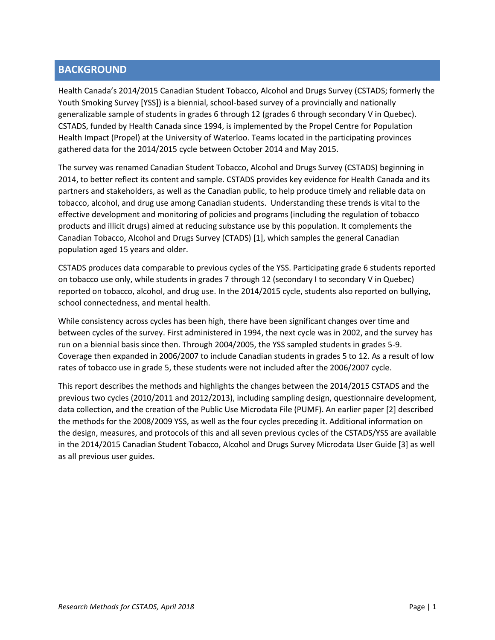## <span id="page-4-0"></span>**BACKGROUND**

Health Canada's 2014/2015 Canadian Student Tobacco, Alcohol and Drugs Survey (CSTADS; formerly the Youth Smoking Survey [YSS]) is a biennial, school-based survey of a provincially and nationally generalizable sample of students in grades 6 through 12 (grades 6 through secondary V in Quebec). CSTADS, funded by Health Canada since 1994, is implemented by the Propel Centre for Population Health Impact (Propel) at the University of Waterloo. Teams located in the participating provinces gathered data for the 2014/2015 cycle between October 2014 and May 2015.

The survey was renamed Canadian Student Tobacco, Alcohol and Drugs Survey (CSTADS) beginning in 2014, to better reflect its content and sample. CSTADS provides key evidence for Health Canada and its partners and stakeholders, as well as the Canadian public, to help produce timely and reliable data on tobacco, alcohol, and drug use among Canadian students. Understanding these trends is vital to the effective development and monitoring of policies and programs (including the regulation of tobacco products and illicit drugs) aimed at reducing substance use by this population. It complements the Canadian Tobacco, Alcohol and Drugs Survey (CTADS) [1], which samples the general Canadian population aged 15 years and older.

CSTADS produces data comparable to previous cycles of the YSS. Participating grade 6 students reported on tobacco use only, while students in grades 7 through 12 (secondary I to secondary V in Quebec) reported on tobacco, alcohol, and drug use. In the 2014/2015 cycle, students also reported on bullying, school connectedness, and mental health.

While consistency across cycles has been high, there have been significant changes over time and between cycles of the survey. First administered in 1994, the next cycle was in 2002, and the survey has run on a biennial basis since then. Through 2004/2005, the YSS sampled students in grades 5-9. Coverage then expanded in 2006/2007 to include Canadian students in grades 5 to 12. As a result of low rates of tobacco use in grade 5, these students were not included after the 2006/2007 cycle.

This report describes the methods and highlights the changes between the 2014/2015 CSTADS and the previous two cycles (2010/2011 and 2012/2013), including sampling design, questionnaire development, data collection, and the creation of the Public Use Microdata File (PUMF). An earlier paper [2] described the methods for the 2008/2009 YSS, as well as the four cycles preceding it. Additional information on the design, measures, and protocols of this and all seven previous cycles of the CSTADS/YSS are available in the 2014/2015 Canadian Student Tobacco, Alcohol and Drugs Survey Microdata User Guide [3] as well as all previous user guides.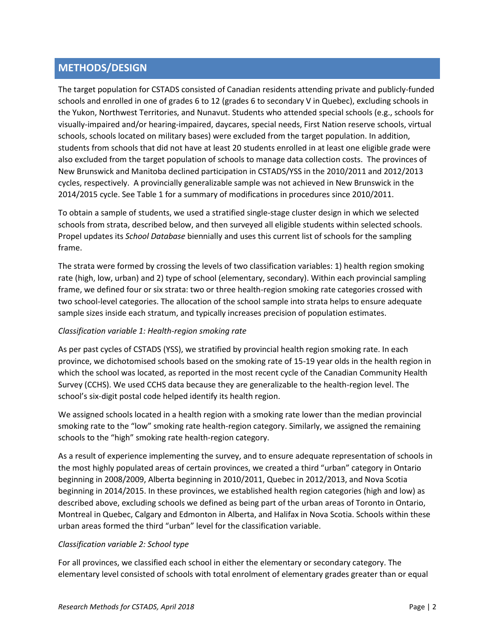## <span id="page-5-0"></span>**METHODS/DESIGN**

The target population for CSTADS consisted of Canadian residents attending private and publicly-funded schools and enrolled in one of grades 6 to 12 (grades 6 to secondary V in Quebec), excluding schools in the Yukon, Northwest Territories, and Nunavut. Students who attended special schools (e.g., schools for visually-impaired and/or hearing-impaired, daycares, special needs, First Nation reserve schools, virtual schools, schools located on military bases) were excluded from the target population. In addition, students from schools that did not have at least 20 students enrolled in at least one eligible grade were also excluded from the target population of schools to manage data collection costs. The provinces of New Brunswick and Manitoba declined participation in CSTADS/YSS in the 2010/2011 and 2012/2013 cycles, respectively. A provincially generalizable sample was not achieved in New Brunswick in the 2014/2015 cycle. See Table 1 for a summary of modifications in procedures since 2010/2011.

To obtain a sample of students, we used a stratified single-stage cluster design in which we selected schools from strata, described below, and then surveyed all eligible students within selected schools. Propel updates its *School Database* biennially and uses this current list of schools for the sampling frame.

The strata were formed by crossing the levels of two classification variables: 1) health region smoking rate (high, low, urban) and 2) type of school (elementary, secondary). Within each provincial sampling frame, we defined four or six strata: two or three health-region smoking rate categories crossed with two school-level categories. The allocation of the school sample into strata helps to ensure adequate sample sizes inside each stratum, and typically increases precision of population estimates.

#### *Classification variable 1: Health-region smoking rate*

As per past cycles of CSTADS (YSS), we stratified by provincial health region smoking rate. In each province, we dichotomised schools based on the smoking rate of 15-19 year olds in the health region in which the school was located, as reported in the most recent cycle of the Canadian Community Health Survey (CCHS). We used CCHS data because they are generalizable to the health-region level. The school's six-digit postal code helped identify its health region.

We assigned schools located in a health region with a smoking rate lower than the median provincial smoking rate to the "low" smoking rate health-region category. Similarly, we assigned the remaining schools to the "high" smoking rate health-region category.

As a result of experience implementing the survey, and to ensure adequate representation of schools in the most highly populated areas of certain provinces, we created a third "urban" category in Ontario beginning in 2008/2009, Alberta beginning in 2010/2011, Quebec in 2012/2013, and Nova Scotia beginning in 2014/2015. In these provinces, we established health region categories (high and low) as described above, excluding schools we defined as being part of the urban areas of Toronto in Ontario, Montreal in Quebec, Calgary and Edmonton in Alberta, and Halifax in Nova Scotia. Schools within these urban areas formed the third "urban" level for the classification variable.

#### *Classification variable 2: School type*

For all provinces, we classified each school in either the elementary or secondary category. The elementary level consisted of schools with total enrolment of elementary grades greater than or equal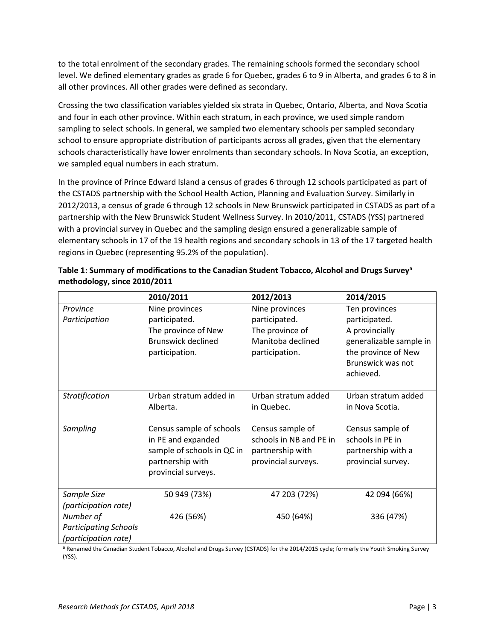to the total enrolment of the secondary grades. The remaining schools formed the secondary school level. We defined elementary grades as grade 6 for Quebec, grades 6 to 9 in Alberta, and grades 6 to 8 in all other provinces. All other grades were defined as secondary.

Crossing the two classification variables yielded six strata in Quebec, Ontario, Alberta, and Nova Scotia and four in each other province. Within each stratum, in each province, we used simple random sampling to select schools. In general, we sampled two elementary schools per sampled secondary school to ensure appropriate distribution of participants across all grades, given that the elementary schools characteristically have lower enrolments than secondary schools. In Nova Scotia, an exception, we sampled equal numbers in each stratum.

In the province of Prince Edward Island a census of grades 6 through 12 schools participated as part of the CSTADS partnership with the School Health Action, Planning and Evaluation Survey. Similarly in 2012/2013, a census of grade 6 through 12 schools in New Brunswick participated in CSTADS as part of a partnership with the New Brunswick Student Wellness Survey. In 2010/2011, CSTADS (YSS) partnered with a provincial survey in Quebec and the sampling design ensured a generalizable sample of elementary schools in 17 of the 19 health regions and secondary schools in 13 of the 17 targeted health regions in Quebec (representing 95.2% of the population).

|                              | 2010/2011                                      | 2012/2013                                   | 2014/2015                            |
|------------------------------|------------------------------------------------|---------------------------------------------|--------------------------------------|
| Province                     | Nine provinces                                 | Nine provinces                              | Ten provinces                        |
| Participation                | participated.                                  | participated.                               | participated.                        |
|                              | The province of New                            | The province of                             | A provincially                       |
|                              | <b>Brunswick declined</b>                      | Manitoba declined                           | generalizable sample in              |
|                              | participation.                                 | participation.                              | the province of New                  |
|                              |                                                |                                             | Brunswick was not                    |
|                              |                                                |                                             | achieved.                            |
| Stratification               | Urban stratum added in                         | Urban stratum added                         | Urban stratum added                  |
|                              | Alberta.                                       | in Quebec.                                  | in Nova Scotia.                      |
|                              |                                                |                                             |                                      |
| Sampling                     | Census sample of schools<br>in PE and expanded | Census sample of<br>schools in NB and PE in | Census sample of<br>schools in PE in |
|                              | sample of schools in QC in                     | partnership with                            | partnership with a                   |
|                              | partnership with                               | provincial surveys.                         | provincial survey.                   |
|                              | provincial surveys.                            |                                             |                                      |
|                              |                                                |                                             |                                      |
| Sample Size                  | 50 949 (73%)                                   | 47 203 (72%)                                | 42 094 (66%)                         |
| (participation rate)         |                                                |                                             |                                      |
| Number of                    | 426 (56%)                                      | 450 (64%)                                   | 336 (47%)                            |
| <b>Participating Schools</b> |                                                |                                             |                                      |
| (participation rate)         |                                                |                                             |                                      |

| Table 1: Summary of modifications to the Canadian Student Tobacco, Alcohol and Drugs Survey <sup>a</sup> |
|----------------------------------------------------------------------------------------------------------|
| methodology, since 2010/2011                                                                             |

a Renamed the Canadian Student Tobacco, Alcohol and Drugs Survey (CSTADS) for the 2014/2015 cycle; formerly the Youth Smoking Survey (YSS).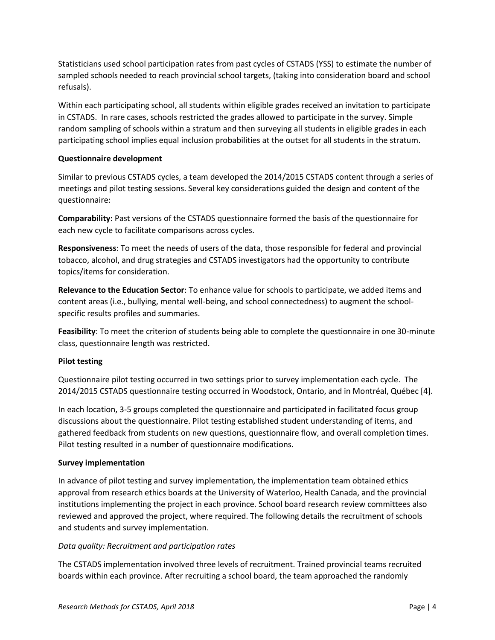Statisticians used school participation rates from past cycles of CSTADS (YSS) to estimate the number of sampled schools needed to reach provincial school targets, (taking into consideration board and school refusals).

Within each participating school, all students within eligible grades received an invitation to participate in CSTADS. In rare cases, schools restricted the grades allowed to participate in the survey. Simple random sampling of schools within a stratum and then surveying all students in eligible grades in each participating school implies equal inclusion probabilities at the outset for all students in the stratum.

#### <span id="page-7-0"></span>**Questionnaire development**

Similar to previous CSTADS cycles, a team developed the 2014/2015 CSTADS content through a series of meetings and pilot testing sessions. Several key considerations guided the design and content of the questionnaire:

**Comparability:** Past versions of the CSTADS questionnaire formed the basis of the questionnaire for each new cycle to facilitate comparisons across cycles.

**Responsiveness**: To meet the needs of users of the data, those responsible for federal and provincial tobacco, alcohol, and drug strategies and CSTADS investigators had the opportunity to contribute topics/items for consideration.

**Relevance to the Education Sector**: To enhance value for schools to participate, we added items and content areas (i.e., bullying, mental well-being, and school connectedness) to augment the schoolspecific results profiles and summaries.

**Feasibility**: To meet the criterion of students being able to complete the questionnaire in one 30-minute class, questionnaire length was restricted.

#### <span id="page-7-1"></span>**Pilot testing**

Questionnaire pilot testing occurred in two settings prior to survey implementation each cycle. The 2014/2015 CSTADS questionnaire testing occurred in Woodstock, Ontario, and in Montréal, Québec [4].

In each location, 3-5 groups completed the questionnaire and participated in facilitated focus group discussions about the questionnaire. Pilot testing established student understanding of items, and gathered feedback from students on new questions, questionnaire flow, and overall completion times. Pilot testing resulted in a number of questionnaire modifications.

#### <span id="page-7-2"></span>**Survey implementation**

In advance of pilot testing and survey implementation, the implementation team obtained ethics approval from research ethics boards at the University of Waterloo, Health Canada, and the provincial institutions implementing the project in each province. School board research review committees also reviewed and approved the project, where required. The following details the recruitment of schools and students and survey implementation.

#### *Data quality: Recruitment and participation rates*

The CSTADS implementation involved three levels of recruitment. Trained provincial teams recruited boards within each province. After recruiting a school board, the team approached the randomly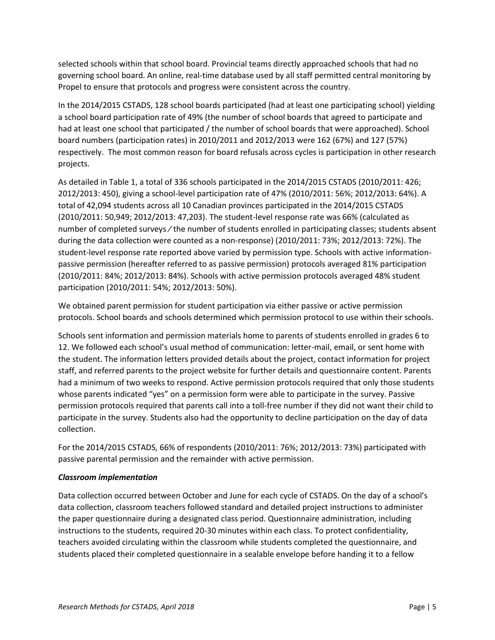selected schools within that school board. Provincial teams directly approached schools that had no governing school board. An online, real-time database used by all staff permitted central monitoring by Propel to ensure that protocols and progress were consistent across the country.

In the 2014/2015 CSTADS, 128 school boards participated (had at least one participating school) yielding a school board participation rate of 49% (the number of school boards that agreed to participate and had at least one school that participated / the number of school boards that were approached). School board numbers (participation rates) in 2010/2011 and 2012/2013 were 162 (67%) and 127 (57%) respectively. The most common reason for board refusals across cycles is participation in other research projects.

As detailed in Table 1, a total of 336 schools participated in the 2014/2015 CSTADS (2010/2011: 426; 2012/2013: 450), giving a school-level participation rate of 47% (2010/2011: 56%; 2012/2013: 64%). A total of 42,094 students across all 10 Canadian provinces participated in the 2014/2015 CSTADS (2010/2011: 50,949; 2012/2013: 47,203). The student-level response rate was 66% (calculated as number of completed surveys ∕ the number of students enrolled in participating classes; students absent during the data collection were counted as a non-response) (2010/2011: 73%; 2012/2013: 72%). The student-level response rate reported above varied by permission type. Schools with active informationpassive permission (hereafter referred to as passive permission) protocols averaged 81% participation (2010/2011: 84%; 2012/2013: 84%). Schools with active permission protocols averaged 48% student participation (2010/2011: 54%; 2012/2013: 50%).

We obtained parent permission for student participation via either passive or active permission protocols. School boards and schools determined which permission protocol to use within their schools.

Schools sent information and permission materials home to parents of students enrolled in grades 6 to 12. We followed each school's usual method of communication: letter-mail, email, or sent home with the student. The information letters provided details about the project, contact information for project staff, and referred parents to the project website for further details and questionnaire content. Parents had a minimum of two weeks to respond. Active permission protocols required that only those students whose parents indicated "yes" on a permission form were able to participate in the survey. Passive permission protocols required that parents call into a toll-free number if they did not want their child to participate in the survey. Students also had the opportunity to decline participation on the day of data collection.

For the 2014/2015 CSTADS, 66% of respondents (2010/2011: 76%; 2012/2013: 73%) participated with passive parental permission and the remainder with active permission.

#### <span id="page-8-0"></span>*Classroom implementation*

Data collection occurred between October and June for each cycle of CSTADS. On the day of a school's data collection, classroom teachers followed standard and detailed project instructions to administer the paper questionnaire during a designated class period. Questionnaire administration, including instructions to the students, required 20-30 minutes within each class. To protect confidentiality, teachers avoided circulating within the classroom while students completed the questionnaire, and students placed their completed questionnaire in a sealable envelope before handing it to a fellow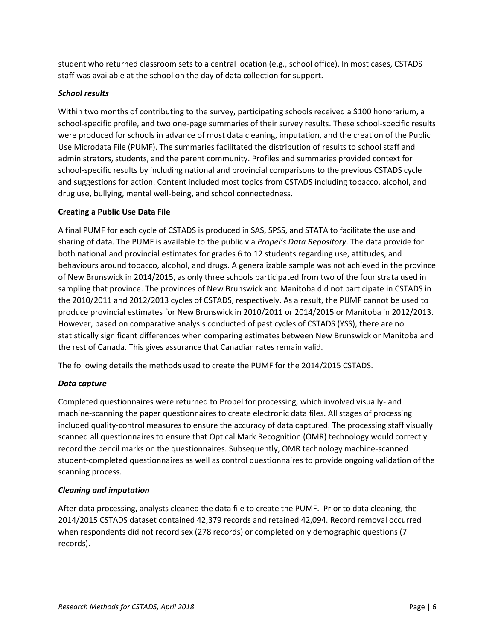student who returned classroom sets to a central location (e.g., school office). In most cases, CSTADS staff was available at the school on the day of data collection for support.

#### <span id="page-9-0"></span>*School results*

Within two months of contributing to the survey, participating schools received a \$100 honorarium, a school-specific profile, and two one-page summaries of their survey results. These school-specific results were produced for schools in advance of most data cleaning, imputation, and the creation of the Public Use Microdata File (PUMF). The summaries facilitated the distribution of results to school staff and administrators, students, and the parent community. Profiles and summaries provided context for school-specific results by including national and provincial comparisons to the previous CSTADS cycle and suggestions for action. Content included most topics from CSTADS including tobacco, alcohol, and drug use, bullying, mental well-being, and school connectedness.

#### <span id="page-9-1"></span>**Creating a Public Use Data File**

A final PUMF for each cycle of CSTADS is produced in SAS, SPSS, and STATA to facilitate the use and sharing of data. The PUMF is available to the public via *Propel's Data Repository*. The data provide for both national and provincial estimates for grades 6 to 12 students regarding use, attitudes, and behaviours around tobacco, alcohol, and drugs. A generalizable sample was not achieved in the province of New Brunswick in 2014/2015, as only three schools participated from two of the four strata used in sampling that province. The provinces of New Brunswick and Manitoba did not participate in CSTADS in the 2010/2011 and 2012/2013 cycles of CSTADS, respectively. As a result, the PUMF cannot be used to produce provincial estimates for New Brunswick in 2010/2011 or 2014/2015 or Manitoba in 2012/2013. However, based on comparative analysis conducted of past cycles of CSTADS (YSS), there are no statistically significant differences when comparing estimates between New Brunswick or Manitoba and the rest of Canada. This gives assurance that Canadian rates remain valid.

The following details the methods used to create the PUMF for the 2014/2015 CSTADS.

#### <span id="page-9-2"></span>*Data capture*

Completed questionnaires were returned to Propel for processing, which involved visually- and machine-scanning the paper questionnaires to create electronic data files. All stages of processing included quality-control measures to ensure the accuracy of data captured. The processing staff visually scanned all questionnaires to ensure that Optical Mark Recognition (OMR) technology would correctly record the pencil marks on the questionnaires. Subsequently, OMR technology machine-scanned student-completed questionnaires as well as control questionnaires to provide ongoing validation of the scanning process.

#### <span id="page-9-3"></span>*Cleaning and imputation*

After data processing, analysts cleaned the data file to create the PUMF. Prior to data cleaning, the 2014/2015 CSTADS dataset contained 42,379 records and retained 42,094. Record removal occurred when respondents did not record sex (278 records) or completed only demographic questions (7 records).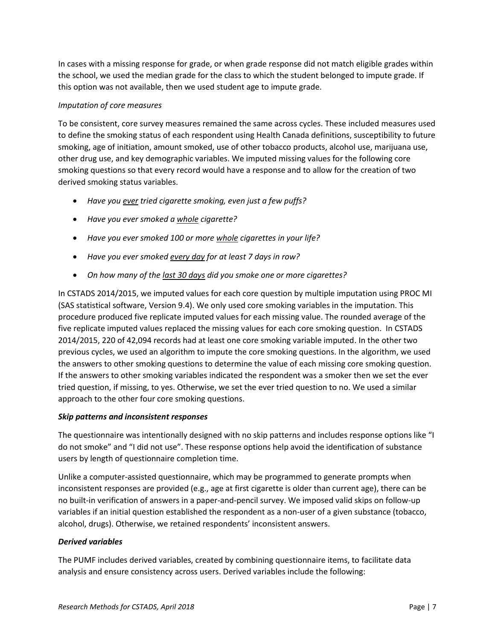In cases with a missing response for grade, or when grade response did not match eligible grades within the school, we used the median grade for the class to which the student belonged to impute grade. If this option was not available, then we used student age to impute grade.

#### *Imputation of core measures*

To be consistent, core survey measures remained the same across cycles. These included measures used to define the smoking status of each respondent using Health Canada definitions, susceptibility to future smoking, age of initiation, amount smoked, use of other tobacco products, alcohol use, marijuana use, other drug use, and key demographic variables. We imputed missing values for the following core smoking questions so that every record would have a response and to allow for the creation of two derived smoking status variables.

- *Have you ever tried cigarette smoking, even just a few puffs?*
- *Have you ever smoked a whole cigarette?*
- *Have you ever smoked 100 or more whole cigarettes in your life?*
- *Have you ever smoked every day for at least 7 days in row?*
- *On how many of the last 30 days did you smoke one or more cigarettes?*

In CSTADS 2014/2015, we imputed values for each core question by multiple imputation using PROC MI (SAS statistical software, Version 9.4). We only used core smoking variables in the imputation. This procedure produced five replicate imputed values for each missing value. The rounded average of the five replicate imputed values replaced the missing values for each core smoking question. In CSTADS 2014/2015, 220 of 42,094 records had at least one core smoking variable imputed. In the other two previous cycles, we used an algorithm to impute the core smoking questions. In the algorithm, we used the answers to other smoking questions to determine the value of each missing core smoking question. If the answers to other smoking variables indicated the respondent was a smoker then we set the ever tried question, if missing, to yes. Otherwise, we set the ever tried question to no. We used a similar approach to the other four core smoking questions.

#### <span id="page-10-0"></span>*Skip patterns and inconsistent responses*

The questionnaire was intentionally designed with no skip patterns and includes response options like "I do not smoke" and "I did not use". These response options help avoid the identification of substance users by length of questionnaire completion time.

Unlike a computer-assisted questionnaire, which may be programmed to generate prompts when inconsistent responses are provided (e.g., age at first cigarette is older than current age), there can be no built-in verification of answers in a paper-and-pencil survey. We imposed valid skips on follow-up variables if an initial question established the respondent as a non-user of a given substance (tobacco, alcohol, drugs). Otherwise, we retained respondents' inconsistent answers.

#### <span id="page-10-1"></span>*Derived variables*

The PUMF includes derived variables, created by combining questionnaire items, to facilitate data analysis and ensure consistency across users. Derived variables include the following: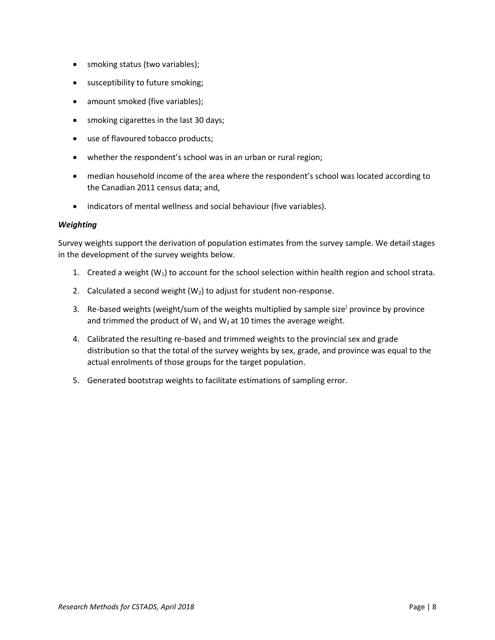- smoking status (two variables);
- susceptibility to future smoking;
- amount smoked (five variables);
- smoking cigarettes in the last 30 days;
- use of flavoured tobacco products;
- whether the respondent's school was in an urban or rural region;
- median household income of the area where the respondent's school was located according to the Canadian 2011 census data; and,
- indicators of mental wellness and social behaviour (five variables).

#### <span id="page-11-0"></span>*Weighting*

Survey weights support the derivation of population estimates from the survey sample. We detail stages in the development of the survey weights below.

- 1. Created a weight  $(W_1)$  to account for the school selection within health region and school strata.
- 2. Calculated a second weight  $(W_2)$  to adjust for student non-response.
- 3. Re-based weights (weight/sum of the weights multiplied by sample size<sup>)</sup> province by province and trimmed the product of  $W_1$  and  $W_2$  at 10 times the average weight.
- 4. Calibrated the resulting re-based and trimmed weights to the provincial sex and grade distribution so that the total of the survey weights by sex, grade, and province was equal to the actual enrolments of those groups for the target population.
- 5. Generated bootstrap weights to facilitate estimations of sampling error.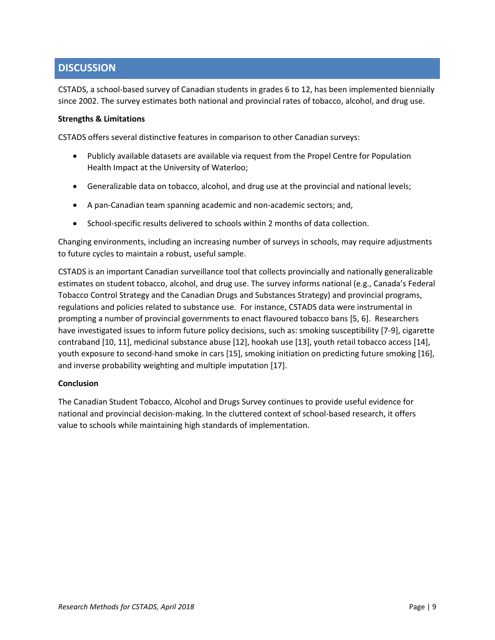## <span id="page-12-0"></span>**DISCUSSION**

CSTADS, a school-based survey of Canadian students in grades 6 to 12, has been implemented biennially since 2002. The survey estimates both national and provincial rates of tobacco, alcohol, and drug use.

#### <span id="page-12-1"></span>**Strengths & Limitations**

CSTADS offers several distinctive features in comparison to other Canadian surveys:

- Publicly available datasets are available via request from the Propel Centre for Population Health Impact at the University of Waterloo;
- Generalizable data on tobacco, alcohol, and drug use at the provincial and national levels;
- A pan-Canadian team spanning academic and non-academic sectors; and,
- School-specific results delivered to schools within 2 months of data collection.

Changing environments, including an increasing number of surveys in schools, may require adjustments to future cycles to maintain a robust, useful sample.

CSTADS is an important Canadian surveillance tool that collects provincially and nationally generalizable estimates on student tobacco, alcohol, and drug use. The survey informs national (e.g., Canada's Federal Tobacco Control Strategy and the Canadian Drugs and Substances Strategy) and provincial programs, regulations and policies related to substance use. For instance, CSTADS data were instrumental in prompting a number of provincial governments to enact flavoured tobacco bans [5, 6]. Researchers have investigated issues to inform future policy decisions, such as: smoking susceptibility [7-9], cigarette contraband [10, 11], medicinal substance abuse [12], hookah use [13], youth retail tobacco access [14], youth exposure to second-hand smoke in cars [15], smoking initiation on predicting future smoking [16], and inverse probability weighting and multiple imputation [17].

#### <span id="page-12-2"></span>**Conclusion**

The Canadian Student Tobacco, Alcohol and Drugs Survey continues to provide useful evidence for national and provincial decision-making. In the cluttered context of school-based research, it offers value to schools while maintaining high standards of implementation.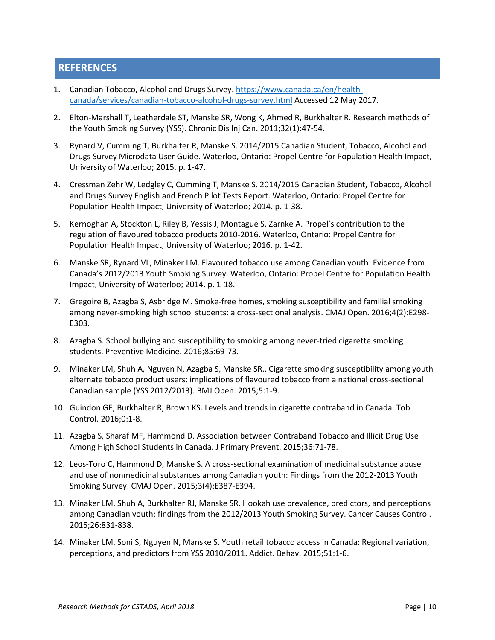## <span id="page-13-0"></span>**REFERENCES**

- 1. Canadian Tobacco, Alcohol and Drugs Survey[. https://www.canada.ca/en/health](https://www.canada.ca/en/health-canada/services/canadian-tobacco-alcohol-drugs-survey.html)[canada/services/canadian-tobacco-alcohol-drugs-survey.html](https://www.canada.ca/en/health-canada/services/canadian-tobacco-alcohol-drugs-survey.html) Accessed 12 May 2017.
- 2. Elton-Marshall T, Leatherdale ST, Manske SR, Wong K, Ahmed R, Burkhalter R. Research methods of the Youth Smoking Survey (YSS). Chronic Dis Inj Can. 2011;32(1):47-54.
- 3. Rynard V, Cumming T, Burkhalter R, Manske S. 2014/2015 Canadian Student, Tobacco, Alcohol and Drugs Survey Microdata User Guide. Waterloo, Ontario: Propel Centre for Population Health Impact, University of Waterloo; 2015. p. 1-47.
- 4. Cressman Zehr W, Ledgley C, Cumming T, Manske S. 2014/2015 Canadian Student, Tobacco, Alcohol and Drugs Survey English and French Pilot Tests Report. Waterloo, Ontario: Propel Centre for Population Health Impact, University of Waterloo; 2014. p. 1-38.
- 5. Kernoghan A, Stockton L, Riley B, Yessis J, Montague S, Zarnke A. Propel's contribution to the regulation of flavoured tobacco products 2010-2016. Waterloo, Ontario: Propel Centre for Population Health Impact, University of Waterloo; 2016. p. 1-42.
- 6. Manske SR, Rynard VL, Minaker LM. Flavoured tobacco use among Canadian youth: Evidence from Canada's 2012/2013 Youth Smoking Survey. Waterloo, Ontario: Propel Centre for Population Health Impact, University of Waterloo; 2014. p. 1-18.
- 7. Gregoire B, Azagba S, Asbridge M. Smoke-free homes, smoking susceptibility and familial smoking among never-smoking high school students: a cross-sectional analysis. CMAJ Open. 2016;4(2):E298- E303.
- 8. Azagba S. School bullying and susceptibility to smoking among never-tried cigarette smoking students. Preventive Medicine. 2016;85:69-73.
- 9. Minaker LM, Shuh A, Nguyen N, Azagba S, Manske SR.. Cigarette smoking susceptibility among youth alternate tobacco product users: implications of flavoured tobacco from a national cross-sectional Canadian sample (YSS 2012/2013). BMJ Open. 2015;5:1-9.
- 10. Guindon GE, Burkhalter R, Brown KS. Levels and trends in cigarette contraband in Canada. Tob Control. 2016;0:1-8.
- 11. Azagba S, Sharaf MF, Hammond D. Association between Contraband Tobacco and Illicit Drug Use Among High School Students in Canada. J Primary Prevent. 2015;36:71-78.
- 12. Leos-Toro C, Hammond D, Manske S. A cross-sectional examination of medicinal substance abuse and use of nonmedicinal substances among Canadian youth: Findings from the 2012-2013 Youth Smoking Survey. CMAJ Open. 2015;3(4):E387-E394.
- 13. Minaker LM, Shuh A, Burkhalter RJ, Manske SR. Hookah use prevalence, predictors, and perceptions among Canadian youth: findings from the 2012/2013 Youth Smoking Survey. Cancer Causes Control. 2015;26:831-838.
- 14. Minaker LM, Soni S, Nguyen N, Manske S. Youth retail tobacco access in Canada: Regional variation, perceptions, and predictors from YSS 2010/2011. Addict. Behav. 2015;51:1-6.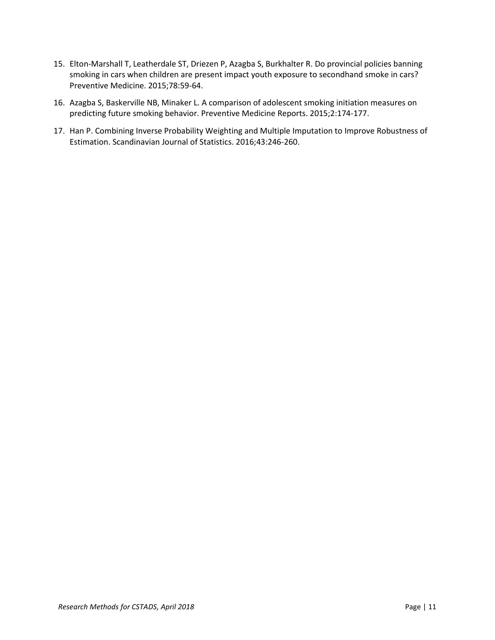- 15. Elton-Marshall T, Leatherdale ST, Driezen P, Azagba S, Burkhalter R. Do provincial policies banning smoking in cars when children are present impact youth exposure to secondhand smoke in cars? Preventive Medicine. 2015;78:59-64.
- 16. Azagba S, Baskerville NB, Minaker L. A comparison of adolescent smoking initiation measures on predicting future smoking behavior. Preventive Medicine Reports. 2015;2:174-177.
- 17. Han P. Combining Inverse Probability Weighting and Multiple Imputation to Improve Robustness of Estimation. Scandinavian Journal of Statistics. 2016;43:246-260.